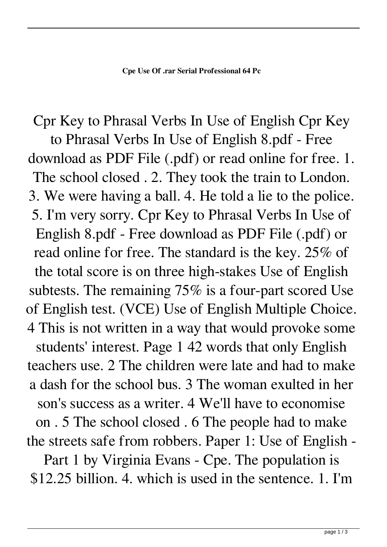Cpr Key to Phrasal Verbs In Use of English Cpr Key to Phrasal Verbs In Use of English 8.pdf - Free download as PDF File (.pdf) or read online for free. 1. The school closed . 2. They took the train to London. 3. We were having a ball. 4. He told a lie to the police. 5. I'm very sorry. Cpr Key to Phrasal Verbs In Use of English 8.pdf - Free download as PDF File (.pdf) or read online for free. The standard is the key. 25% of the total score is on three high-stakes Use of English subtests. The remaining 75% is a four-part scored Use of English test. (VCE) Use of English Multiple Choice. 4 This is not written in a way that would provoke some students' interest. Page 1 42 words that only English teachers use. 2 The children were late and had to make a dash for the school bus. 3 The woman exulted in her son's success as a writer. 4 We'll have to economise on . 5 The school closed . 6 The people had to make the streets safe from robbers. Paper 1: Use of English - Part 1 by Virginia Evans - Cpe. The population is \$12.25 billion. 4. which is used in the sentence. 1. I'm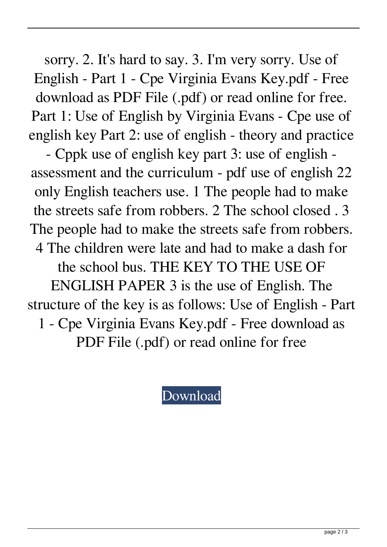sorry. 2. It's hard to say. 3. I'm very sorry. Use of English - Part 1 - Cpe Virginia Evans Key.pdf - Free download as PDF File (.pdf) or read online for free. Part 1: Use of English by Virginia Evans - Cpe use of english key Part 2: use of english - theory and practice

- Cppk use of english key part 3: use of english assessment and the curriculum - pdf use of english 22 only English teachers use. 1 The people had to make the streets safe from robbers. 2 The school closed . 3 The people had to make the streets safe from robbers. 4 The children were late and had to make a dash for the school bus. THE KEY TO THE USE OF ENGLISH PAPER 3 is the use of English. The structure of the key is as follows: Use of English - Part 1 - Cpe Virginia Evans Key.pdf - Free download as PDF File (.pdf) or read online for free

[Download](http://evacdir.com/underdeveloped/altea/authhosts=nationalists&chillingly=ZG93bmxvYWR8aFc4TW5Wck1YeDhNVFkxTWpjME1EZzJObng4TWpVM05IeDhLRTBwSUhKbFlXUXRZbXh2WnlCYlJtRnpkQ0JIUlU1ZA&Q3BlIFVzZSBPZiBFbmdsaXNoIDEgQnkgVmlyZ2luaWEgRXZhbnMgS2V5LjIzQ3B=punch)